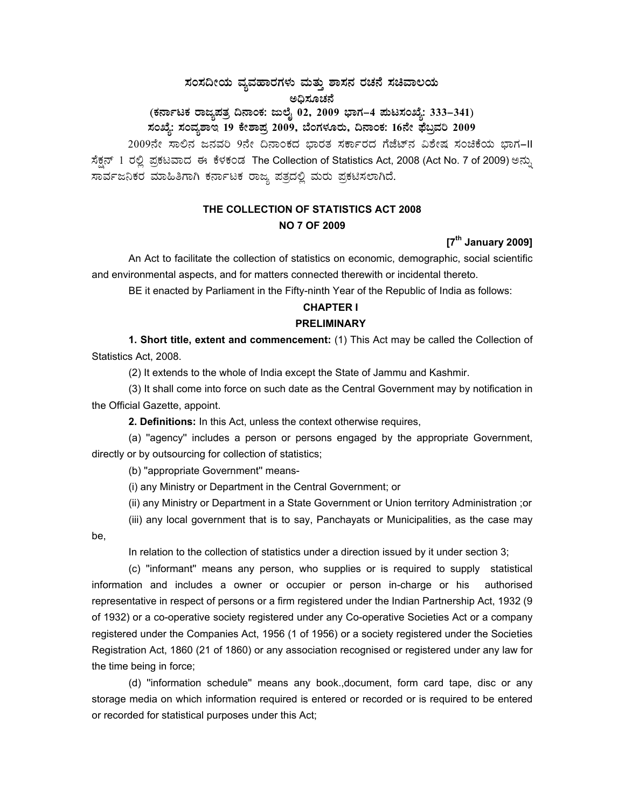# $\,$ ಸಂಸದೀಯ ವ್ಯವಹಾರಗಳು ಮತ್ತು ಶಾಸನ ರಚನೆ ಸಚಿವಾಲಯ ಅಧಿಸೂಚನೆ

# (ಕರ್ನಾಟಕ ರಾಜ್ಯಪತ್ರ ದಿನಾಂಕ: ಜುಲೈ 02, 2009 ಭಾಗ–4 **ಪುಟಸಂಖ್ಯೆ: 333–341**) **¸ÀASÉå: ¸ÀAªÀå±ÁE 19 PÉñÁ¥Àæ 2009, ¨ÉAUÀ¼ÀÆgÀÄ, ¢£ÁAPÀ: 16£Éà ¥sɧæªÀj 2009**

2009ನೇ ಸಾಲಿನ ಜನವರಿ 9ನೇ ದಿನಾಂಕದ ಭಾರತ ಸರ್ಕಾರದ ಗೆಜೆಟ್ ವಿಶೇಷ ಸಂಚಿಕೆಯ ಭಾಗ-II ಸೆಕ್ಷನ್ 1 ರಲ್ಲಿ ಪ್ರಕಟವಾದ ಈ ಕೆಳಕಂಡ The Collection of Statistics Act, 2008 (Act No. 7 of 2009) ಅನ್ಸು ಸಾರ್ವಜನಿಕರ ಮಾಹಿತಿಗಾಗಿ ಕರ್ನಾಟಕ ರಾಜ್ಯ ಪತ್ರದಲ್ಲಿ ಮರು ಪ್ರಕಟಿಸಲಾಗಿದೆ.

# **THE COLLECTION OF STATISTICS ACT 2008 NO 7 OF 2009**

**[7th January 2009]** 

An Act to facilitate the collection of statistics on economic, demographic, social scientific and environmental aspects, and for matters connected therewith or incidental thereto.

BE it enacted by Parliament in the Fifty-ninth Year of the Republic of India as follows:

### **CHAPTER I**

### **PRELIMINARY**

**1. Short title, extent and commencement:** (1) This Act may be called the Collection of Statistics Act, 2008.

(2) It extends to the whole of India except the State of Jammu and Kashmir.

(3) It shall come into force on such date as the Central Government may by notification in the Official Gazette, appoint.

**2. Definitions:** In this Act, unless the context otherwise requires,

(a) ''agency'' includes a person or persons engaged by the appropriate Government, directly or by outsourcing for collection of statistics;

(b) ''appropriate Government'' means-

(i) any Ministry or Department in the Central Government; or

(ii) any Ministry or Department in a State Government or Union territory Administration ;or

(iii) any local government that is to say, Panchayats or Municipalities, as the case may be,

In relation to the collection of statistics under a direction issued by it under section 3;

(c) ''informant'' means any person, who supplies or is required to supply statistical information and includes a owner or occupier or person in-charge or his authorised representative in respect of persons or a firm registered under the Indian Partnership Act, 1932 (9 of 1932) or a co-operative society registered under any Co-operative Societies Act or a company registered under the Companies Act, 1956 (1 of 1956) or a society registered under the Societies Registration Act, 1860 (21 of 1860) or any association recognised or registered under any law for the time being in force;

(d) ''information schedule'' means any book.,document, form card tape, disc or any storage media on which information required is entered or recorded or is required to be entered or recorded for statistical purposes under this Act;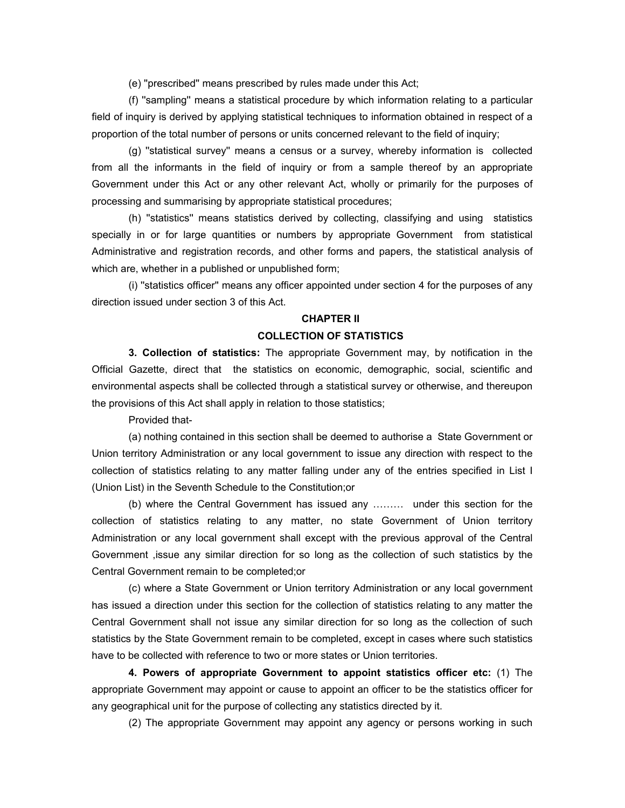(e) ''prescribed'' means prescribed by rules made under this Act;

(f) ''sampling'' means a statistical procedure by which information relating to a particular field of inquiry is derived by applying statistical techniques to information obtained in respect of a proportion of the total number of persons or units concerned relevant to the field of inquiry;

(g) ''statistical survey'' means a census or a survey, whereby information is collected from all the informants in the field of inquiry or from a sample thereof by an appropriate Government under this Act or any other relevant Act, wholly or primarily for the purposes of processing and summarising by appropriate statistical procedures;

(h) ''statistics'' means statistics derived by collecting, classifying and using statistics specially in or for large quantities or numbers by appropriate Government from statistical Administrative and registration records, and other forms and papers, the statistical analysis of which are, whether in a published or unpublished form;

(i) ''statistics officer'' means any officer appointed under section 4 for the purposes of any direction issued under section 3 of this Act.

### **CHAPTER II**

### **COLLECTION OF STATISTICS**

**3. Collection of statistics:** The appropriate Government may, by notification in the Official Gazette, direct that the statistics on economic, demographic, social, scientific and environmental aspects shall be collected through a statistical survey or otherwise, and thereupon the provisions of this Act shall apply in relation to those statistics;

Provided that-

(a) nothing contained in this section shall be deemed to authorise a State Government or Union territory Administration or any local government to issue any direction with respect to the collection of statistics relating to any matter falling under any of the entries specified in List I (Union List) in the Seventh Schedule to the Constitution;or

(b) where the Central Government has issued any ……… under this section for the collection of statistics relating to any matter, no state Government of Union territory Administration or any local government shall except with the previous approval of the Central Government ,issue any similar direction for so long as the collection of such statistics by the Central Government remain to be completed;or

(c) where a State Government or Union territory Administration or any local government has issued a direction under this section for the collection of statistics relating to any matter the Central Government shall not issue any similar direction for so long as the collection of such statistics by the State Government remain to be completed, except in cases where such statistics have to be collected with reference to two or more states or Union territories.

**4. Powers of appropriate Government to appoint statistics officer etc:** (1) The appropriate Government may appoint or cause to appoint an officer to be the statistics officer for any geographical unit for the purpose of collecting any statistics directed by it.

(2) The appropriate Government may appoint any agency or persons working in such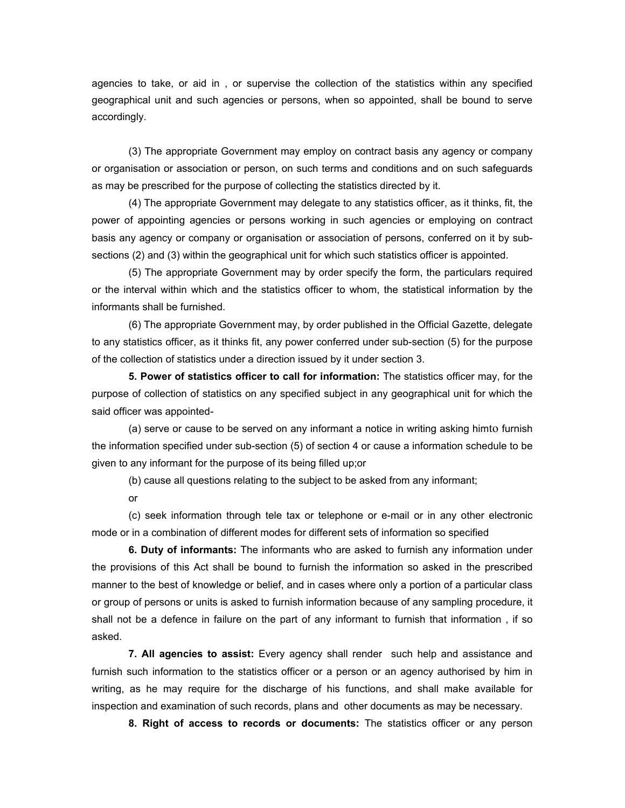agencies to take, or aid in , or supervise the collection of the statistics within any specified geographical unit and such agencies or persons, when so appointed, shall be bound to serve accordingly.

(3) The appropriate Government may employ on contract basis any agency or company or organisation or association or person, on such terms and conditions and on such safeguards as may be prescribed for the purpose of collecting the statistics directed by it.

(4) The appropriate Government may delegate to any statistics officer, as it thinks, fit, the power of appointing agencies or persons working in such agencies or employing on contract basis any agency or company or organisation or association of persons, conferred on it by subsections (2) and (3) within the geographical unit for which such statistics officer is appointed.

(5) The appropriate Government may by order specify the form, the particulars required or the interval within which and the statistics officer to whom, the statistical information by the informants shall be furnished.

(6) The appropriate Government may, by order published in the Official Gazette, delegate to any statistics officer, as it thinks fit, any power conferred under sub-section (5) for the purpose of the collection of statistics under a direction issued by it under section 3.

**5. Power of statistics officer to call for information:** The statistics officer may, for the purpose of collection of statistics on any specified subject in any geographical unit for which the said officer was appointed-

(a) serve or cause to be served on any informant a notice in writing asking himto furnish the information specified under sub-section (5) of section 4 or cause a information schedule to be given to any informant for the purpose of its being filled up;or

(b) cause all questions relating to the subject to be asked from any informant;

or

(c) seek information through tele tax or telephone or e-mail or in any other electronic mode or in a combination of different modes for different sets of information so specified

**6. Duty of informants:** The informants who are asked to furnish any information under the provisions of this Act shall be bound to furnish the information so asked in the prescribed manner to the best of knowledge or belief, and in cases where only a portion of a particular class or group of persons or units is asked to furnish information because of any sampling procedure, it shall not be a defence in failure on the part of any informant to furnish that information , if so asked.

**7. All agencies to assist:** Every agency shall render such help and assistance and furnish such information to the statistics officer or a person or an agency authorised by him in writing, as he may require for the discharge of his functions, and shall make available for inspection and examination of such records, plans and other documents as may be necessary.

**8. Right of access to records or documents:** The statistics officer or any person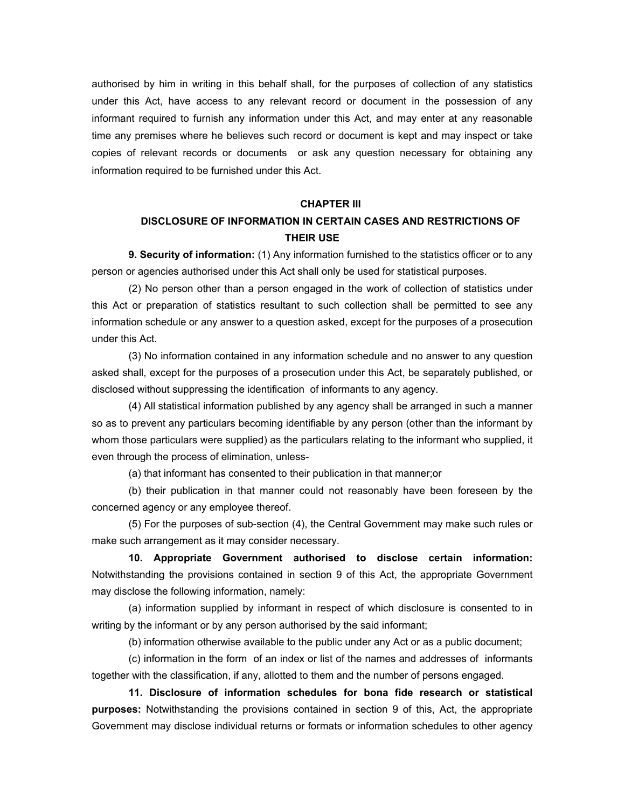authorised by him in writing in this behalf shall, for the purposes of collection of any statistics under this Act, have access to any relevant record or document in the possession of any informant required to furnish any information under this Act, and may enter at any reasonable time any premises where he believes such record or document is kept and may inspect or take copies of relevant records or documents or ask any question necessary for obtaining any information required to be furnished under this Act.

#### **CHAPTER III**

### **DISCLOSURE OF INFORMATION IN CERTAIN CASES AND RESTRICTIONS OF THEIR USE**

**9. Security of information:** (1) Any information furnished to the statistics officer or to any person or agencies authorised under this Act shall only be used for statistical purposes.

(2) No person other than a person engaged in the work of collection of statistics under this Act or preparation of statistics resultant to such collection shall be permitted to see any information schedule or any answer to a question asked, except for the purposes of a prosecution under this Act.

(3) No information contained in any information schedule and no answer to any question asked shall, except for the purposes of a prosecution under this Act, be separately published, or disclosed without suppressing the identification of informants to any agency.

(4) All statistical information published by any agency shall be arranged in such a manner so as to prevent any particulars becoming identifiable by any person (other than the informant by whom those particulars were supplied) as the particulars relating to the informant who supplied, it even through the process of elimination, unless-

(a) that informant has consented to their publication in that manner;or

(b) their publication in that manner could not reasonably have been foreseen by the concerned agency or any employee thereof.

(5) For the purposes of sub-section (4), the Central Government may make such rules or make such arrangement as it may consider necessary.

**10. Appropriate Government authorised to disclose certain information:** Notwithstanding the provisions contained in section 9 of this Act, the appropriate Government may disclose the following information, namely:

(a) information supplied by informant in respect of which disclosure is consented to in writing by the informant or by any person authorised by the said informant;

(b) information otherwise available to the public under any Act or as a public document;

(c) information in the form of an index or list of the names and addresses of informants together with the classification, if any, allotted to them and the number of persons engaged.

**11. Disclosure of information schedules for bona fide research or statistical purposes:** Notwithstanding the provisions contained in section 9 of this, Act, the appropriate Government may disclose individual returns or formats or information schedules to other agency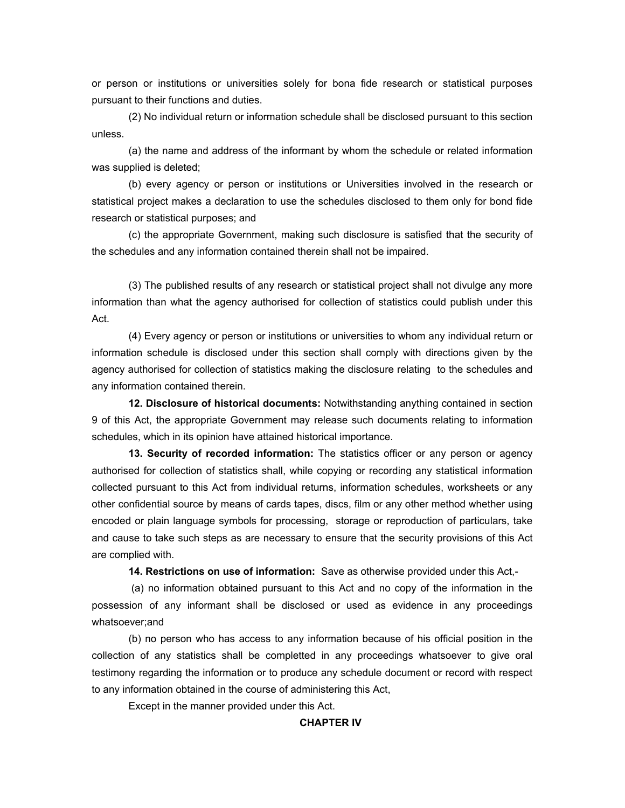or person or institutions or universities solely for bona fide research or statistical purposes pursuant to their functions and duties.

(2) No individual return or information schedule shall be disclosed pursuant to this section unless.

(a) the name and address of the informant by whom the schedule or related information was supplied is deleted;

(b) every agency or person or institutions or Universities involved in the research or statistical project makes a declaration to use the schedules disclosed to them only for bond fide research or statistical purposes; and

(c) the appropriate Government, making such disclosure is satisfied that the security of the schedules and any information contained therein shall not be impaired.

(3) The published results of any research or statistical project shall not divulge any more information than what the agency authorised for collection of statistics could publish under this Act.

(4) Every agency or person or institutions or universities to whom any individual return or information schedule is disclosed under this section shall comply with directions given by the agency authorised for collection of statistics making the disclosure relating to the schedules and any information contained therein.

**12. Disclosure of historical documents:** Notwithstanding anything contained in section 9 of this Act, the appropriate Government may release such documents relating to information schedules, which in its opinion have attained historical importance.

**13. Security of recorded information:** The statistics officer or any person or agency authorised for collection of statistics shall, while copying or recording any statistical information collected pursuant to this Act from individual returns, information schedules, worksheets or any other confidential source by means of cards tapes, discs, film or any other method whether using encoded or plain language symbols for processing, storage or reproduction of particulars, take and cause to take such steps as are necessary to ensure that the security provisions of this Act are complied with.

**14. Restrictions on use of information:** Save as otherwise provided under this Act,-

 (a) no information obtained pursuant to this Act and no copy of the information in the possession of any informant shall be disclosed or used as evidence in any proceedings whatsoever;and

(b) no person who has access to any information because of his official position in the collection of any statistics shall be completted in any proceedings whatsoever to give oral testimony regarding the information or to produce any schedule document or record with respect to any information obtained in the course of administering this Act,

Except in the manner provided under this Act.

### **CHAPTER IV**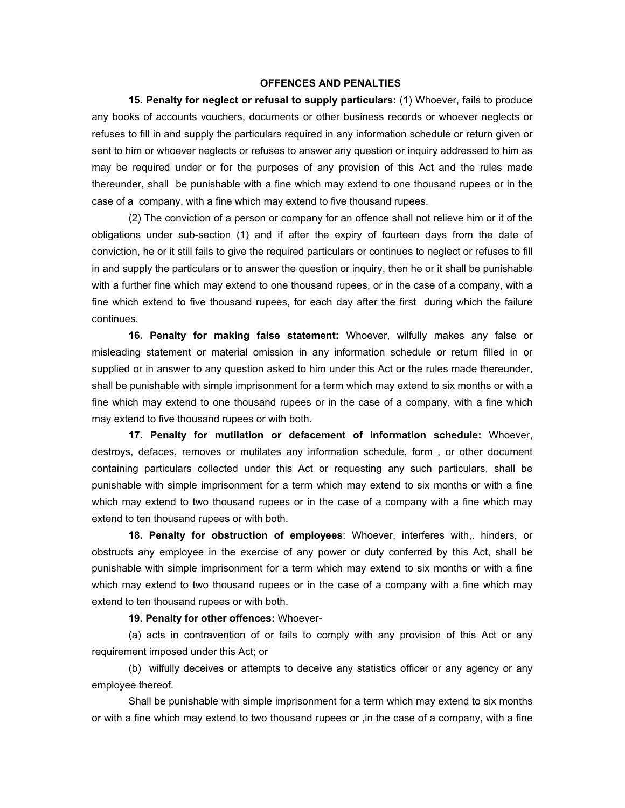### **OFFENCES AND PENALTIES**

**15. Penalty for neglect or refusal to supply particulars:** (1) Whoever, fails to produce any books of accounts vouchers, documents or other business records or whoever neglects or refuses to fill in and supply the particulars required in any information schedule or return given or sent to him or whoever neglects or refuses to answer any question or inquiry addressed to him as may be required under or for the purposes of any provision of this Act and the rules made thereunder, shall be punishable with a fine which may extend to one thousand rupees or in the case of a company, with a fine which may extend to five thousand rupees.

(2) The conviction of a person or company for an offence shall not relieve him or it of the obligations under sub-section (1) and if after the expiry of fourteen days from the date of conviction, he or it still fails to give the required particulars or continues to neglect or refuses to fill in and supply the particulars or to answer the question or inquiry, then he or it shall be punishable with a further fine which may extend to one thousand rupees, or in the case of a company, with a fine which extend to five thousand rupees, for each day after the first during which the failure continues.

**16. Penalty for making false statement:** Whoever, wilfully makes any false or misleading statement or material omission in any information schedule or return filled in or supplied or in answer to any question asked to him under this Act or the rules made thereunder, shall be punishable with simple imprisonment for a term which may extend to six months or with a fine which may extend to one thousand rupees or in the case of a company, with a fine which may extend to five thousand rupees or with both.

**17. Penalty for mutilation or defacement of information schedule:** Whoever, destroys, defaces, removes or mutilates any information schedule, form , or other document containing particulars collected under this Act or requesting any such particulars, shall be punishable with simple imprisonment for a term which may extend to six months or with a fine which may extend to two thousand rupees or in the case of a company with a fine which may extend to ten thousand rupees or with both.

**18. Penalty for obstruction of employees**: Whoever, interferes with,. hinders, or obstructs any employee in the exercise of any power or duty conferred by this Act, shall be punishable with simple imprisonment for a term which may extend to six months or with a fine which may extend to two thousand rupees or in the case of a company with a fine which may extend to ten thousand rupees or with both.

**19. Penalty for other offences:** Whoever-

(a) acts in contravention of or fails to comply with any provision of this Act or any requirement imposed under this Act; or

(b) wilfully deceives or attempts to deceive any statistics officer or any agency or any employee thereof.

Shall be punishable with simple imprisonment for a term which may extend to six months or with a fine which may extend to two thousand rupees or ,in the case of a company, with a fine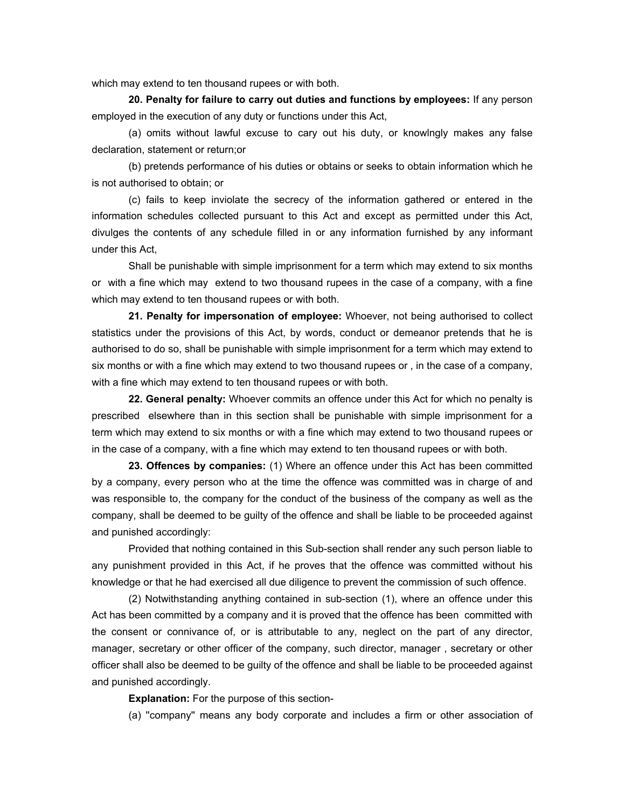which may extend to ten thousand rupees or with both.

**20. Penalty for failure to carry out duties and functions by employees:** If any person employed in the execution of any duty or functions under this Act,

(a) omits without lawful excuse to cary out his duty, or knowlngly makes any false declaration, statement or return;or

(b) pretends performance of his duties or obtains or seeks to obtain information which he is not authorised to obtain; or

(c) fails to keep inviolate the secrecy of the information gathered or entered in the information schedules collected pursuant to this Act and except as permitted under this Act, divulges the contents of any schedule filled in or any information furnished by any informant under this Act,

Shall be punishable with simple imprisonment for a term which may extend to six months or with a fine which may extend to two thousand rupees in the case of a company, with a fine which may extend to ten thousand rupees or with both.

**21. Penalty for impersonation of employee:** Whoever, not being authorised to collect statistics under the provisions of this Act, by words, conduct or demeanor pretends that he is authorised to do so, shall be punishable with simple imprisonment for a term which may extend to six months or with a fine which may extend to two thousand rupees or , in the case of a company, with a fine which may extend to ten thousand rupees or with both.

**22. General penalty:** Whoever commits an offence under this Act for which no penalty is prescribed elsewhere than in this section shall be punishable with simple imprisonment for a term which may extend to six months or with a fine which may extend to two thousand rupees or in the case of a company, with a fine which may extend to ten thousand rupees or with both.

**23. Offences by companies:** (1) Where an offence under this Act has been committed by a company, every person who at the time the offence was committed was in charge of and was responsible to, the company for the conduct of the business of the company as well as the company, shall be deemed to be guilty of the offence and shall be liable to be proceeded against and punished accordingly:

Provided that nothing contained in this Sub-section shall render any such person liable to any punishment provided in this Act, if he proves that the offence was committed without his knowledge or that he had exercised all due diligence to prevent the commission of such offence.

(2) Notwithstanding anything contained in sub-section (1), where an offence under this Act has been committed by a company and it is proved that the offence has been committed with the consent or connivance of, or is attributable to any, neglect on the part of any director, manager, secretary or other officer of the company, such director, manager , secretary or other officer shall also be deemed to be guilty of the offence and shall be liable to be proceeded against and punished accordingly.

**Explanation:** For the purpose of this section-

(a) ''company'' means any body corporate and includes a firm or other association of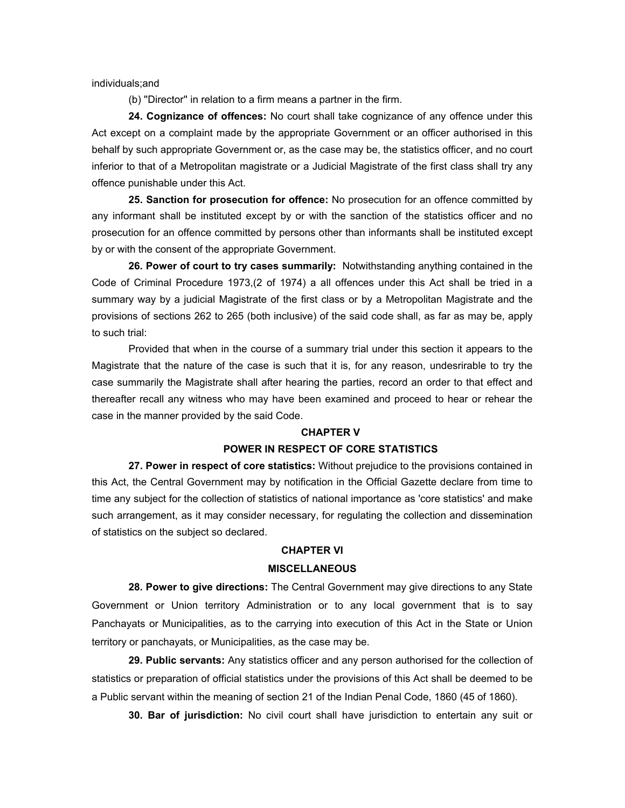individuals;and

(b) ''Director'' in relation to a firm means a partner in the firm.

**24. Cognizance of offences:** No court shall take cognizance of any offence under this Act except on a complaint made by the appropriate Government or an officer authorised in this behalf by such appropriate Government or, as the case may be, the statistics officer, and no court inferior to that of a Metropolitan magistrate or a Judicial Magistrate of the first class shall try any offence punishable under this Act.

**25. Sanction for prosecution for offence:** No prosecution for an offence committed by any informant shall be instituted except by or with the sanction of the statistics officer and no prosecution for an offence committed by persons other than informants shall be instituted except by or with the consent of the appropriate Government.

**26. Power of court to try cases summarily:** Notwithstanding anything contained in the Code of Criminal Procedure 1973,(2 of 1974) a all offences under this Act shall be tried in a summary way by a judicial Magistrate of the first class or by a Metropolitan Magistrate and the provisions of sections 262 to 265 (both inclusive) of the said code shall, as far as may be, apply to such trial:

Provided that when in the course of a summary trial under this section it appears to the Magistrate that the nature of the case is such that it is, for any reason, undesrirable to try the case summarily the Magistrate shall after hearing the parties, record an order to that effect and thereafter recall any witness who may have been examined and proceed to hear or rehear the case in the manner provided by the said Code.

### **CHAPTER V**

### **POWER IN RESPECT OF CORE STATISTICS**

**27. Power in respect of core statistics:** Without prejudice to the provisions contained in this Act, the Central Government may by notification in the Official Gazette declare from time to time any subject for the collection of statistics of national importance as 'core statistics' and make such arrangement, as it may consider necessary, for regulating the collection and dissemination of statistics on the subject so declared.

### **CHAPTER VI**

#### **MISCELLANEOUS**

**28. Power to give directions:** The Central Government may give directions to any State Government or Union territory Administration or to any local government that is to say Panchayats or Municipalities, as to the carrying into execution of this Act in the State or Union territory or panchayats, or Municipalities, as the case may be.

**29. Public servants:** Any statistics officer and any person authorised for the collection of statistics or preparation of official statistics under the provisions of this Act shall be deemed to be a Public servant within the meaning of section 21 of the Indian Penal Code, 1860 (45 of 1860).

**30. Bar of jurisdiction:** No civil court shall have jurisdiction to entertain any suit or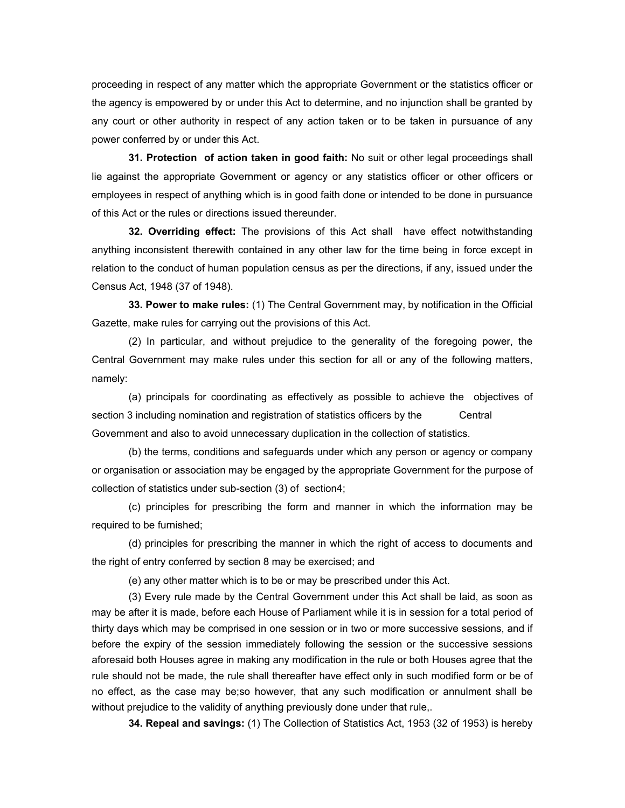proceeding in respect of any matter which the appropriate Government or the statistics officer or the agency is empowered by or under this Act to determine, and no injunction shall be granted by any court or other authority in respect of any action taken or to be taken in pursuance of any power conferred by or under this Act.

**31. Protection of action taken in good faith:** No suit or other legal proceedings shall lie against the appropriate Government or agency or any statistics officer or other officers or employees in respect of anything which is in good faith done or intended to be done in pursuance of this Act or the rules or directions issued thereunder.

**32. Overriding effect:** The provisions of this Act shall have effect notwithstanding anything inconsistent therewith contained in any other law for the time being in force except in relation to the conduct of human population census as per the directions, if any, issued under the Census Act, 1948 (37 of 1948).

**33. Power to make rules:** (1) The Central Government may, by notification in the Official Gazette, make rules for carrying out the provisions of this Act.

(2) In particular, and without prejudice to the generality of the foregoing power, the Central Government may make rules under this section for all or any of the following matters, namely:

(a) principals for coordinating as effectively as possible to achieve the objectives of section 3 including nomination and registration of statistics officers by the Central Government and also to avoid unnecessary duplication in the collection of statistics.

(b) the terms, conditions and safeguards under which any person or agency or company or organisation or association may be engaged by the appropriate Government for the purpose of collection of statistics under sub-section (3) of section4;

(c) principles for prescribing the form and manner in which the information may be required to be furnished;

(d) principles for prescribing the manner in which the right of access to documents and the right of entry conferred by section 8 may be exercised; and

(e) any other matter which is to be or may be prescribed under this Act.

(3) Every rule made by the Central Government under this Act shall be laid, as soon as may be after it is made, before each House of Parliament while it is in session for a total period of thirty days which may be comprised in one session or in two or more successive sessions, and if before the expiry of the session immediately following the session or the successive sessions aforesaid both Houses agree in making any modification in the rule or both Houses agree that the rule should not be made, the rule shall thereafter have effect only in such modified form or be of no effect, as the case may be;so however, that any such modification or annulment shall be without prejudice to the validity of anything previously done under that rule,.

**34. Repeal and savings:** (1) The Collection of Statistics Act, 1953 (32 of 1953) is hereby